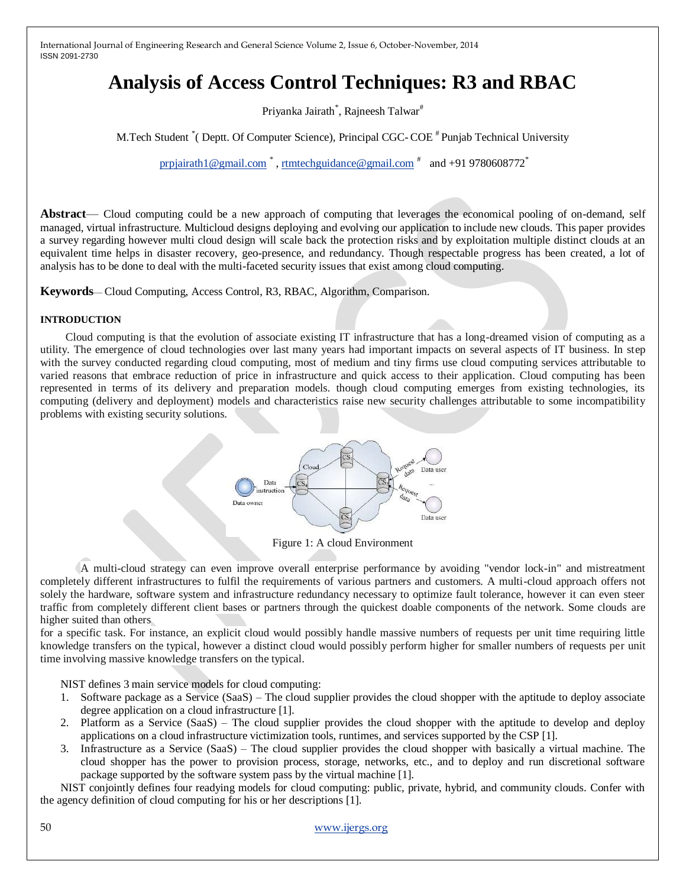# **Analysis of Access Control Techniques: R3 and RBAC**

Priyanka Jairath<sup>\*</sup>, Rajneesh Talwar<sup>#</sup>

M. Tech Student \* (Deptt. Of Computer Science), Principal CGC-COE # Punjab Technical University

[prpjairath1@gmail.com](mailto:prpjairath1@gmail.com)  $^*$ , [rtmtechguidance@gmail.com](mailto:rtmtechguidance@gmail.com)  $^*$  and +91 9780608772 $^*$ 

**Abstract**— Cloud computing could be a new approach of computing that leverages the economical pooling of on-demand, self managed, virtual infrastructure. Multicloud designs deploying and evolving our application to include new clouds. This paper provides a survey regarding however multi cloud design will scale back the protection risks and by exploitation multiple distinct clouds at an equivalent time helps in disaster recovery, geo-presence, and redundancy. Though respectable progress has been created, a lot of analysis has to be done to deal with the multi-faceted security issues that exist among cloud computing.

**Keywords**— Cloud Computing, Access Control, R3, RBAC, Algorithm, Comparison.

### **INTRODUCTION**

Cloud computing is that the evolution of associate existing IT infrastructure that has a long-dreamed vision of computing as a utility. The emergence of cloud technologies over last many years had important impacts on several aspects of IT business. In step with the survey conducted regarding cloud computing, most of medium and tiny firms use cloud computing services attributable to varied reasons that embrace reduction of price in infrastructure and quick access to their application. Cloud computing has been represented in terms of its delivery and preparation models. though cloud computing emerges from existing technologies, its computing (delivery and deployment) models and characteristics raise new security challenges attributable to some incompatibility problems with existing security solutions.



Figure 1: A cloud Environment

A multi-cloud strategy can even improve overall enterprise performance by avoiding "vendor lock-in" and mistreatment completely different infrastructures to fulfil the requirements of various partners and customers. A multi-cloud approach offers not solely the hardware, software system and infrastructure redundancy necessary to optimize fault tolerance, however it can even steer traffic from completely different client bases or partners through the quickest doable components of the network. Some clouds are higher suited than others

for a specific task. For instance, an explicit cloud would possibly handle massive numbers of requests per unit time requiring little knowledge transfers on the typical, however a distinct cloud would possibly perform higher for smaller numbers of requests per unit time involving massive knowledge transfers on the typical.

NIST defines 3 main service models for cloud computing:

- 1. Software package as a Service (SaaS) The cloud supplier provides the cloud shopper with the aptitude to deploy associate degree application on a cloud infrastructure [1].
- 2. Platform as a Service (SaaS) The cloud supplier provides the cloud shopper with the aptitude to develop and deploy applications on a cloud infrastructure victimization tools, runtimes, and services supported by the CSP [1].
- 3. Infrastructure as a Service (SaaS) The cloud supplier provides the cloud shopper with basically a virtual machine. The cloud shopper has the power to provision process, storage, networks, etc., and to deploy and run discretional software package supported by the software system pass by the virtual machine [1].

NIST conjointly defines four readying models for cloud computing: public, private, hybrid, and community clouds. Confer with the agency definition of cloud computing for his or her descriptions [1].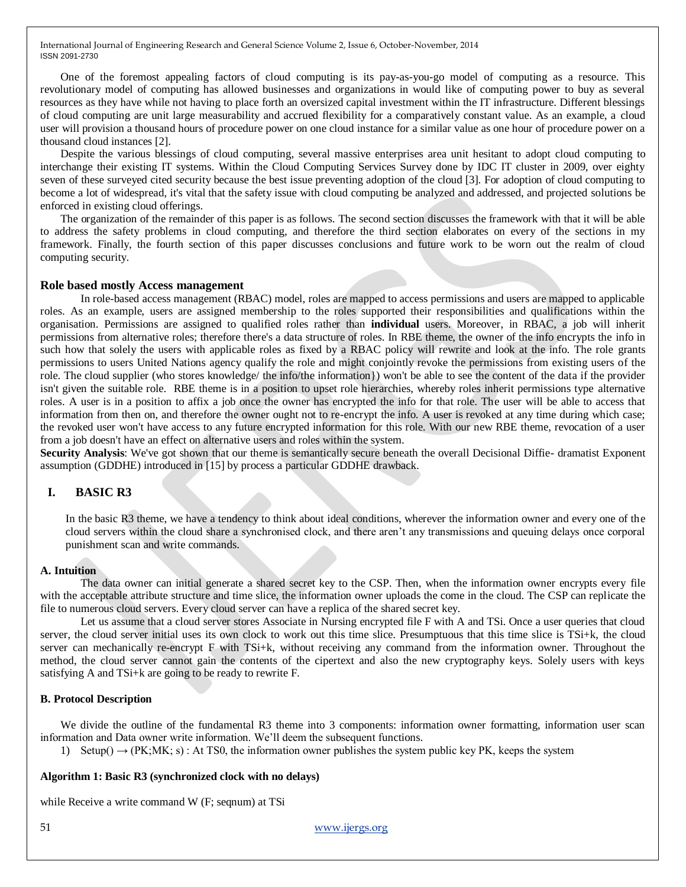One of the foremost appealing factors of cloud computing is its pay-as-you-go model of computing as a resource. This revolutionary model of computing has allowed businesses and organizations in would like of computing power to buy as several resources as they have while not having to place forth an oversized capital investment within the IT infrastructure. Different blessings of cloud computing are unit large measurability and accrued flexibility for a comparatively constant value. As an example, a cloud user will provision a thousand hours of procedure power on one cloud instance for a similar value as one hour of procedure power on a thousand cloud instances [2].

Despite the various blessings of cloud computing, several massive enterprises area unit hesitant to adopt cloud computing to interchange their existing IT systems. Within the Cloud Computing Services Survey done by IDC IT cluster in 2009, over eighty seven of these surveyed cited security because the best issue preventing adoption of the cloud [3]. For adoption of cloud computing to become a lot of widespread, it's vital that the safety issue with cloud computing be analyzed and addressed, and projected solutions be enforced in existing cloud offerings.

The organization of the remainder of this paper is as follows. The second section discusses the framework with that it will be able to address the safety problems in cloud computing, and therefore the third section elaborates on every of the sections in my framework. Finally, the fourth section of this paper discusses conclusions and future work to be worn out the realm of cloud computing security.

#### **Role based mostly Access management**

In role-based access management (RBAC) model, roles are mapped to access permissions and users are mapped to applicable roles. As an example, users are assigned membership to the roles supported their responsibilities and qualifications within the organisation. Permissions are assigned to qualified roles rather than **individual** users. Moreover, in RBAC, a job will inherit permissions from alternative roles; therefore there's a data structure of roles. In RBE theme, the owner of the info encrypts the info in such how that solely the users with applicable roles as fixed by a RBAC policy will rewrite and look at the info. The role grants permissions to users United Nations agency qualify the role and might conjointly revoke the permissions from existing users of the role. The cloud supplier (who stores knowledge/ the info/the information}) won't be able to see the content of the data if the provider isn't given the suitable role. RBE theme is in a position to upset role hierarchies, whereby roles inherit permissions type alternative roles. A user is in a position to affix a job once the owner has encrypted the info for that role. The user will be able to access that information from then on, and therefore the owner ought not to re-encrypt the info. A user is revoked at any time during which case; the revoked user won't have access to any future encrypted information for this role. With our new RBE theme, revocation of a user from a job doesn't have an effect on alternative users and roles within the system.

**Security Analysis**: We've got shown that our theme is semantically secure beneath the overall Decisional Diffie- dramatist Exponent assumption (GDDHE) introduced in [15] by process a particular GDDHE drawback.

# **I. BASIC R3**

In the basic R3 theme, we have a tendency to think about ideal conditions, wherever the information owner and every one of the cloud servers within the cloud share a synchronised clock, and there aren't any transmissions and queuing delays once corporal punishment scan and write commands.

#### **A. Intuition**

The data owner can initial generate a shared secret key to the CSP. Then, when the information owner encrypts every file with the acceptable attribute structure and time slice, the information owner uploads the come in the cloud. The CSP can replicate the file to numerous cloud servers. Every cloud server can have a replica of the shared secret key.

Let us assume that a cloud server stores Associate in Nursing encrypted file F with A and TSi. Once a user queries that cloud server, the cloud server initial uses its own clock to work out this time slice. Presumptuous that this time slice is TSi+k, the cloud server can mechanically re-encrypt F with TSi+k, without receiving any command from the information owner. Throughout the method, the cloud server cannot gain the contents of the cipertext and also the new cryptography keys. Solely users with keys satisfying A and TSi+k are going to be ready to rewrite F.

#### **B. Protocol Description**

We divide the outline of the fundamental R3 theme into 3 components: information owner formatting, information user scan information and Data owner write information. We'll deem the subsequent functions.

1) Setup()  $\rightarrow$  (PK;MK; s) : At TS0, the information owner publishes the system public key PK, keeps the system

#### **Algorithm 1: Basic R3 (synchronized clock with no delays)**

while Receive a write command W (F; seqnum) at TSi

51 [www.ijergs.org](http://www.ijergs.org/)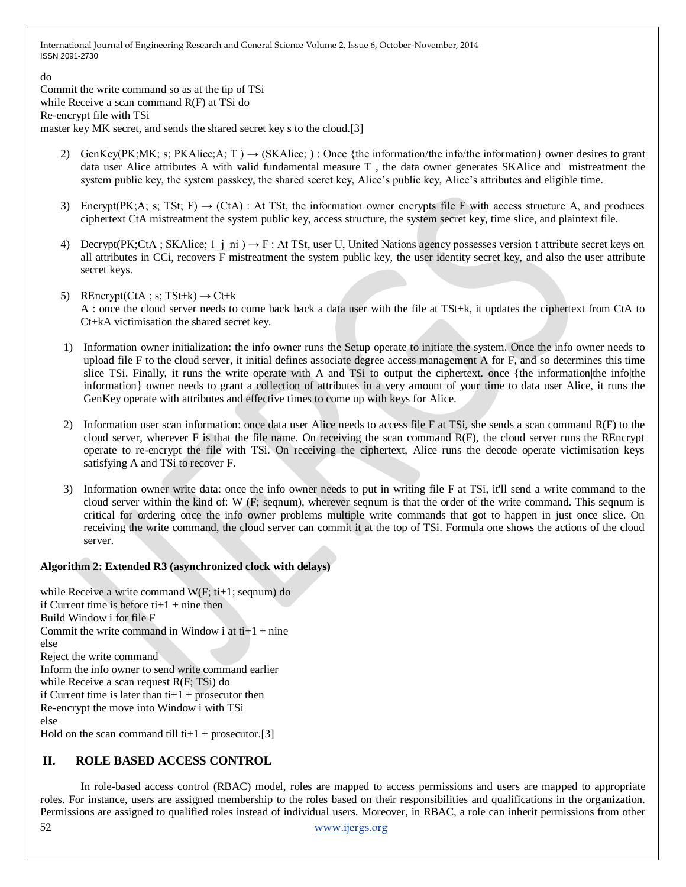do

Commit the write command so as at the tip of TSi while Receive a scan command R(F) at TSi do Re-encrypt file with TSi master key MK secret, and sends the shared secret key s to the cloud.[3]

- 2) GenKey(PK;MK; s; PKAlice;A; T )  $\rightarrow$  (SKAlice; ) : Once {the information/the info/the information} owner desires to grant data user Alice attributes A with valid fundamental measure T , the data owner generates SKAlice and mistreatment the system public key, the system passkey, the shared secret key, Alice's public key, Alice's attributes and eligible time.
- 3) Encrypt(PK;A; s; TSt; F)  $\rightarrow$  (CtA) : At TSt, the information owner encrypts file F with access structure A, and produces ciphertext CtA mistreatment the system public key, access structure, the system secret key, time slice, and plaintext file.
- 4) Decrypt(PK;CtA; SKAlice; 1 j ni )  $\rightarrow$  F : At TSt, user U, United Nations agency possesses version t attribute secret keys on all attributes in CCi, recovers F mistreatment the system public key, the user identity secret key, and also the user attribute secret keys.
- 5) REncrypt(CtA; s; TSt+k)  $\rightarrow$  Ct+k A : once the cloud server needs to come back back a data user with the file at TSt+k, it updates the ciphertext from CtA to Ct+kA victimisation the shared secret key.
- 1) Information owner initialization: the info owner runs the Setup operate to initiate the system. Once the info owner needs to upload file F to the cloud server, it initial defines associate degree access management A for F, and so determines this time slice TSi. Finally, it runs the write operate with A and TSi to output the ciphertext. once {the information|the info|the information} owner needs to grant a collection of attributes in a very amount of your time to data user Alice, it runs the GenKey operate with attributes and effective times to come up with keys for Alice.
- 2) Information user scan information: once data user Alice needs to access file F at TSi, she sends a scan command R(F) to the cloud server, wherever F is that the file name. On receiving the scan command R(F), the cloud server runs the REncrypt operate to re-encrypt the file with TSi. On receiving the ciphertext, Alice runs the decode operate victimisation keys satisfying A and TSi to recover F.
- 3) Information owner write data: once the info owner needs to put in writing file F at TSi, it'll send a write command to the cloud server within the kind of: W (F; seqnum), wherever seqnum is that the order of the write command. This seqnum is critical for ordering once the info owner problems multiple write commands that got to happen in just once slice. On receiving the write command, the cloud server can commit it at the top of TSi. Formula one shows the actions of the cloud server.

# **Algorithm 2: Extended R3 (asynchronized clock with delays)**

while Receive a write command W(F; ti+1; seqnum) do if Current time is before  $t + 1 + n$  ine then Build Window i for file F Commit the write command in Window i at  $ti+1 + ni$ nine else Reject the write command Inform the info owner to send write command earlier while Receive a scan request R(F; TSi) do if Current time is later than  $t + 1 +$  prosecutor then Re-encrypt the move into Window i with TSi else Hold on the scan command till ti+1 + prosecutor.[3]

# **II. ROLE BASED ACCESS CONTROL**

52 [www.ijergs.org](http://www.ijergs.org/) In role-based access control (RBAC) model, roles are mapped to access permissions and users are mapped to appropriate roles. For instance, users are assigned membership to the roles based on their responsibilities and qualifications in the organization. Permissions are assigned to qualified roles instead of individual users. Moreover, in RBAC, a role can inherit permissions from other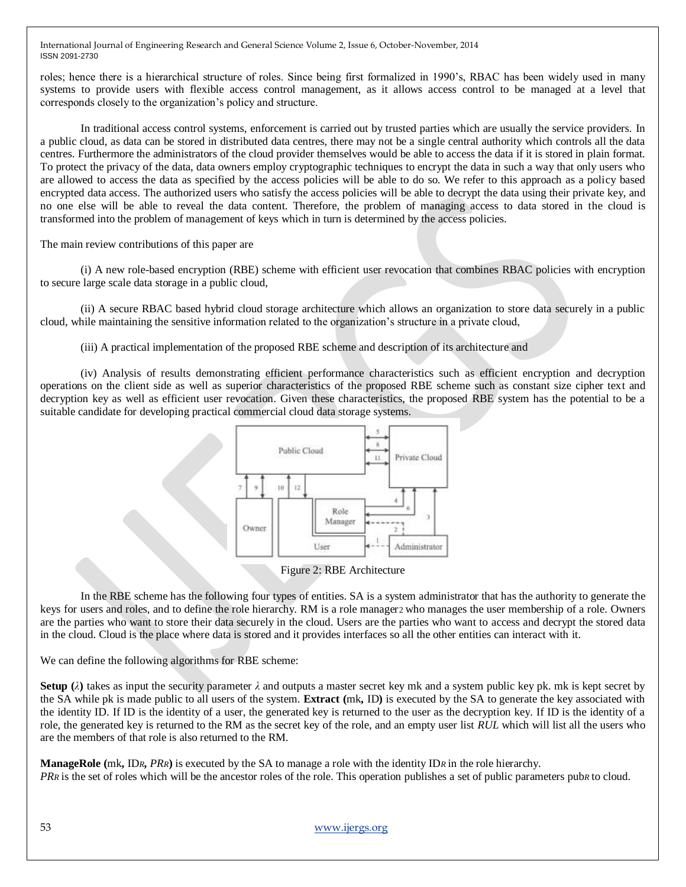roles; hence there is a hierarchical structure of roles. Since being first formalized in 1990's, RBAC has been widely used in many systems to provide users with flexible access control management, as it allows access control to be managed at a level that corresponds closely to the organization's policy and structure.

In traditional access control systems, enforcement is carried out by trusted parties which are usually the service providers. In a public cloud, as data can be stored in distributed data centres, there may not be a single central authority which controls all the data centres. Furthermore the administrators of the cloud provider themselves would be able to access the data if it is stored in plain format. To protect the privacy of the data, data owners employ cryptographic techniques to encrypt the data in such a way that only users who are allowed to access the data as specified by the access policies will be able to do so. We refer to this approach as a policy based encrypted data access. The authorized users who satisfy the access policies will be able to decrypt the data using their private key, and no one else will be able to reveal the data content. Therefore, the problem of managing access to data stored in the cloud is transformed into the problem of management of keys which in turn is determined by the access policies.

The main review contributions of this paper are

(i) A new role-based encryption (RBE) scheme with efficient user revocation that combines RBAC policies with encryption to secure large scale data storage in a public cloud,

(ii) A secure RBAC based hybrid cloud storage architecture which allows an organization to store data securely in a public cloud, while maintaining the sensitive information related to the organization's structure in a private cloud,

(iii) A practical implementation of the proposed RBE scheme and description of its architecture and

(iv) Analysis of results demonstrating efficient performance characteristics such as efficient encryption and decryption operations on the client side as well as superior characteristics of the proposed RBE scheme such as constant size cipher text and decryption key as well as efficient user revocation. Given these characteristics, the proposed RBE system has the potential to be a suitable candidate for developing practical commercial cloud data storage systems.



Figure 2: RBE Architecture

In the RBE scheme has the following four types of entities. SA is a system administrator that has the authority to generate the keys for users and roles, and to define the role hierarchy. RM is a role manager2 who manages the user membership of a role. Owners are the parties who want to store their data securely in the cloud. Users are the parties who want to access and decrypt the stored data in the cloud. Cloud is the place where data is stored and it provides interfaces so all the other entities can interact with it.

We can define the following algorithms for RBE scheme:

**Setup** ( $\lambda$ ) takes as input the security parameter  $\lambda$  and outputs a master secret key mk and a system public key pk. mk is kept secret by the SA while pk is made public to all users of the system. **Extract (**mk**,** ID**)** is executed by the SA to generate the key associated with the identity ID. If ID is the identity of a user, the generated key is returned to the user as the decryption key. If ID is the identity of a role, the generated key is returned to the RM as the secret key of the role, and an empty user list *RUL* which will list all the users who are the members of that role is also returned to the RM.

**ManageRole (**mk**,** ID*R***,** *PRR***)** is executed by the SA to manage a role with the identity ID*R* in the role hierarchy. *PRR* is the set of roles which will be the ancestor roles of the role. This operation publishes a set of public parameters pub*R* to cloud.